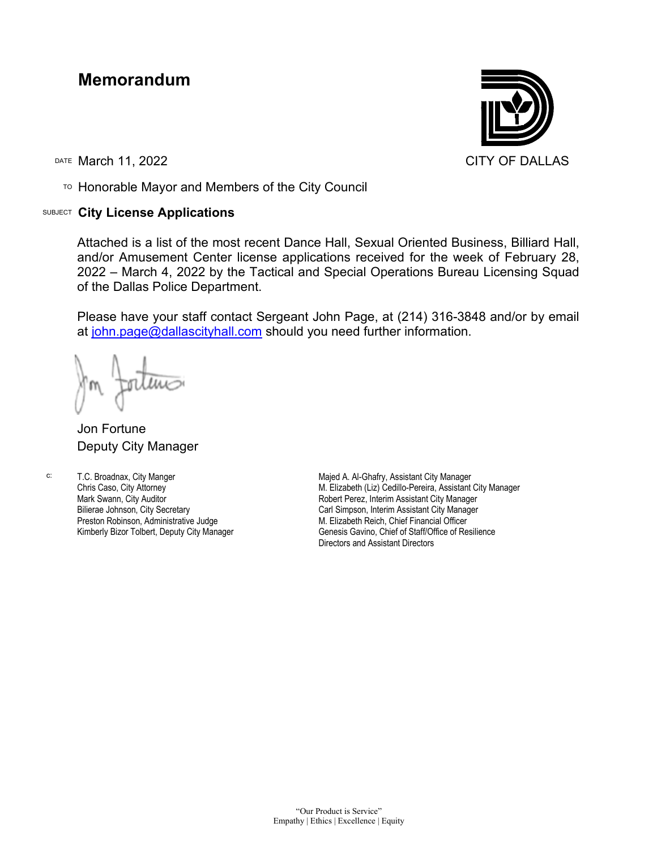## **Memorandum**

DATE March 11, 2022 CITY OF DALLAS

TO Honorable Mayor and Members of the City Council

## SUBJECT **City License Applications**



Attached is a list of the most recent Dance Hall, Sexual Oriented Business, Billiard Hall, and/or Amusement Center license applications received for the week of February 28, 2022 – March 4, 2022 by the Tactical and Special Operations Bureau Licensing Squad of the Dallas Police Department.

Please have your staff contact Sergeant John Page, at (214) 316-3848 and/or by email at [john.page@dallascityhall.com](mailto:john.page@dallascityhall.com) should you need further information.

Jon Fortune Deputy City Manager

c: T.C. Broadnax, City Manger Chris Caso, City Attorney Mark Swann, City Auditor Bilierae Johnson, City Secretary Preston Robinson, Administrative Judge Kimberly Bizor Tolbert, Deputy City Manager

Majed A. Al-Ghafry, Assistant City Manager M. Elizabeth (Liz) Cedillo-Pereira, Assistant City Manager Robert Perez, Interim Assistant City Manager Carl Simpson, Interim Assistant City Manager M. Elizabeth Reich, Chief Financial Officer Genesis Gavino, Chief of Staff/Office of Resilience Directors and Assistant Directors